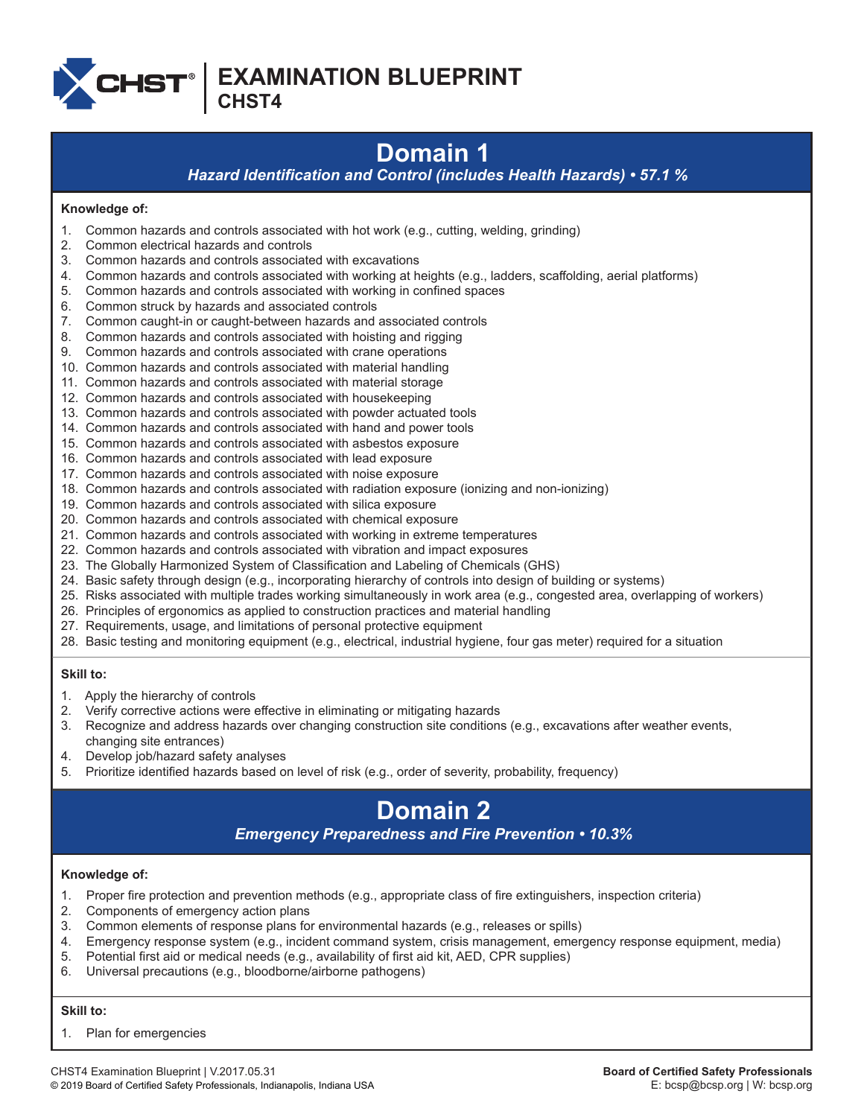

**EXAMINATION BLUEPRINT**

**CHST4**

# **Domain 1**

*Hazard Identification and Control (includes Health Hazards) • 57.1 %*

## **Knowledge of:**

- 1. Common hazards and controls associated with hot work (e.g., cutting, welding, grinding)
- 2. Common electrical hazards and controls
- 3. Common hazards and controls associated with excavations
- 4. Common hazards and controls associated with working at heights (e.g., ladders, scaffolding, aerial platforms)
- 5. Common hazards and controls associated with working in confined spaces
- 6. Common struck by hazards and associated controls
- 7. Common caught-in or caught-between hazards and associated controls
- 8. Common hazards and controls associated with hoisting and rigging
- 9. Common hazards and controls associated with crane operations
- 10. Common hazards and controls associated with material handling
- 11. Common hazards and controls associated with material storage
- 12. Common hazards and controls associated with housekeeping
- 13. Common hazards and controls associated with powder actuated tools
- 14. Common hazards and controls associated with hand and power tools
- 15. Common hazards and controls associated with asbestos exposure
- 16. Common hazards and controls associated with lead exposure
- 17. Common hazards and controls associated with noise exposure
- 18. Common hazards and controls associated with radiation exposure (ionizing and non-ionizing)
- 19. Common hazards and controls associated with silica exposure
- 20. Common hazards and controls associated with chemical exposure
- 21. Common hazards and controls associated with working in extreme temperatures
- 22. Common hazards and controls associated with vibration and impact exposures
- 23. The Globally Harmonized System of Classification and Labeling of Chemicals (GHS)
- 24. Basic safety through design (e.g., incorporating hierarchy of controls into design of building or systems)
- 25. Risks associated with multiple trades working simultaneously in work area (e.g., congested area, overlapping of workers)
- 26. Principles of ergonomics as applied to construction practices and material handling
- 27. Requirements, usage, and limitations of personal protective equipment
- 28. Basic testing and monitoring equipment (e.g., electrical, industrial hygiene, four gas meter) required for a situation

## **Skill to:**

- 1. Apply the hierarchy of controls
- 2. Verify corrective actions were effective in eliminating or mitigating hazards
- 3. Recognize and address hazards over changing construction site conditions (e.g., excavations after weather events, changing site entrances)
- 4. Develop job/hazard safety analyses
- 5. Prioritize identified hazards based on level of risk (e.g., order of severity, probability, frequency)

# **Domain 2**

## *Emergency Preparedness and Fire Prevention • 10.3%*

## **Knowledge of:**

- 1. Proper fire protection and prevention methods (e.g., appropriate class of fire extinguishers, inspection criteria)
- 2. Components of emergency action plans
- 3. Common elements of response plans for environmental hazards (e.g., releases or spills)
- 4. Emergency response system (e.g., incident command system, crisis management, emergency response equipment, media)
- 5. Potential first aid or medical needs (e.g., availability of first aid kit, AED, CPR supplies)
- 6. Universal precautions (e.g., bloodborne/airborne pathogens)

## **Skill to:**

1. Plan for emergencies